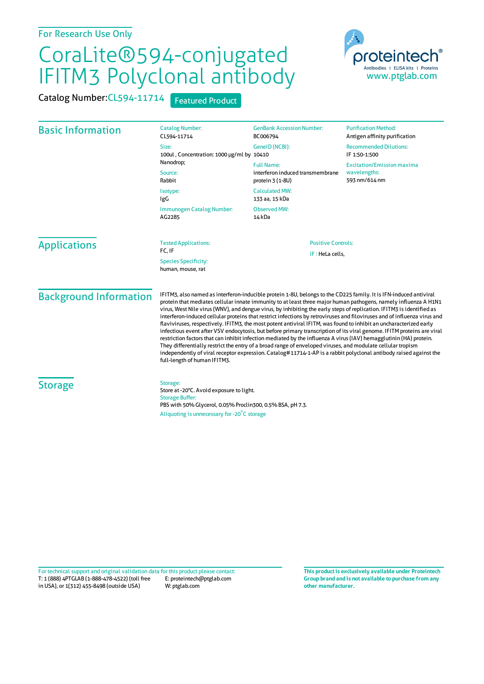## For Research Use Only

## CoraLite®594-conjugated IFITM3 Polyclonal antibody

Catalog Number: CL594-11714 Featured Product



| <b>Basic Information</b>      | <b>Catalog Number:</b><br>CL594-11714<br>Size:                                                                                                                                                                                                                                                                                                                                                                                                                                                                                                                                                                                                                                                                                                                                                                                                                                                                                                                                                                                                                                                                                      | <b>GenBank Accession Number:</b><br>BC006794<br>GeneID (NCBI):            | <b>Purification Method:</b><br>Antigen affinity purification<br><b>Recommended Dilutions:</b> |
|-------------------------------|-------------------------------------------------------------------------------------------------------------------------------------------------------------------------------------------------------------------------------------------------------------------------------------------------------------------------------------------------------------------------------------------------------------------------------------------------------------------------------------------------------------------------------------------------------------------------------------------------------------------------------------------------------------------------------------------------------------------------------------------------------------------------------------------------------------------------------------------------------------------------------------------------------------------------------------------------------------------------------------------------------------------------------------------------------------------------------------------------------------------------------------|---------------------------------------------------------------------------|-----------------------------------------------------------------------------------------------|
|                               | 100ul, Concentration: 1000 µg/ml by 10410<br>Nanodrop;<br>Source:<br>Rabbit                                                                                                                                                                                                                                                                                                                                                                                                                                                                                                                                                                                                                                                                                                                                                                                                                                                                                                                                                                                                                                                         |                                                                           | IF 1:50-1:500                                                                                 |
|                               |                                                                                                                                                                                                                                                                                                                                                                                                                                                                                                                                                                                                                                                                                                                                                                                                                                                                                                                                                                                                                                                                                                                                     | <b>Full Name:</b><br>interferon induced transmembrane<br>protein 3 (1-8U) | <b>Excitation/Emission maxima</b><br>wavelengths:<br>593 nm/614 nm                            |
|                               | Isotype:<br>IgG                                                                                                                                                                                                                                                                                                                                                                                                                                                                                                                                                                                                                                                                                                                                                                                                                                                                                                                                                                                                                                                                                                                     | <b>Calculated MW:</b><br>133 aa, 15 kDa                                   |                                                                                               |
|                               | Immunogen Catalog Number:<br>AG2285                                                                                                                                                                                                                                                                                                                                                                                                                                                                                                                                                                                                                                                                                                                                                                                                                                                                                                                                                                                                                                                                                                 | <b>Observed MW:</b><br>14 kDa                                             |                                                                                               |
| <b>Applications</b>           | <b>Tested Applications:</b><br>FC, IF<br><b>Species Specificity:</b><br>human, mouse, rat                                                                                                                                                                                                                                                                                                                                                                                                                                                                                                                                                                                                                                                                                                                                                                                                                                                                                                                                                                                                                                           | <b>Positive Controls:</b><br>IF: HeLa cells,                              |                                                                                               |
| <b>Background Information</b> | IFITM3, also named as interferon-inducible protein 1-8U, belongs to the CD225 family. It is IFN-induced antiviral<br>protein that mediates cellular innate immunity to at least three major human pathogens, namely influenza A H1N1<br>virus, West Nile virus (WNV), and dengue virus, by inhibiting the early steps of replication. IFITM3 is identified as<br>interferon-induced cellular proteins that restrict infections by retroviruses and filoviruses and of influenza virus and<br>flaviviruses, respectively. IFITM3, the most potent antiviral IFITM, was found to inhibit an uncharacterized early<br>infectious event after VSV endocytosis, but before primary transcription of its viral genome. IFITM proteins are viral<br>restriction factors that can inhibit infection mediated by the influenza A virus (IAV) hemagglutinin (HA) protein.<br>They differentially restrict the entry of a broad range of enveloped viruses, and modulate cellular tropism<br>independently of viral receptor expression. Catalog#11714-1-AP is a rabbit polyclonal antibody raised against the<br>full-length of human IFITM3. |                                                                           |                                                                                               |
| <b>Storage</b>                | Storage:<br>Store at -20°C. Avoid exposure to light.<br><b>Storage Buffer:</b><br>PBS with 50% Glycerol, 0.05% Proclin300, 0.5% BSA, pH 7.3.<br>Aliquoting is unnecessary for -20°C storage                                                                                                                                                                                                                                                                                                                                                                                                                                                                                                                                                                                                                                                                                                                                                                                                                                                                                                                                         |                                                                           |                                                                                               |

T: 1 (888) 4PTGLAB (1-888-478-4522) (toll free in USA), or 1(312) 455-8498 (outside USA) E: proteintech@ptglab.com W: ptglab.com Fortechnical support and original validation data forthis product please contact: **This productis exclusively available under Proteintech**

**Group brand and is not available to purchase from any other manufacturer.**